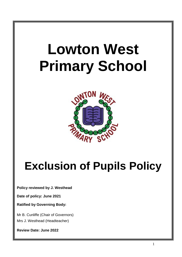# **Lowton West Primary School**



# **Exclusion of Pupils Policy**

**Policy reviewed by J. Westhead**

**Date of policy: June 2021**

**Ratified by Governing Body:**

Mr B. Cunliffe (Chair of Governors) Mrs J. Westhead (Headteacher)

**Review Date: June 2022**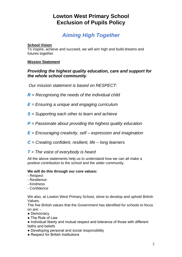### **Lowton West Primary School Exclusion of Pupils Policy**

## *Aiming High Together*

#### **School Vision**

To inspire, achieve and succeed, we will aim high and build dreams and futures together.

#### **Mission Statement**

#### *Providing the highest quality education, care and support for the whole school community.*

*Our mission statement is based on RESPECT:*

- *R = Recognising the needs of the individual child*
- *E = Ensuring a unique and engaging curriculum*
- *S = Supporting each other to learn and achieve*
- *P = Passionate about providing the highest quality education*
- *E = Encouraging creativity, self – expression and imagination*
- *C = Creating confident, resilient, life – long learners*

#### *T = The voice of everybody is heard*

All the above statements help us to understand how we can all make a positive contribution to the school and the wider community.

#### **We will do this through our core values:**

- Respect
- Resilience
- Kindness
- Confidence

We also, at Lowton West Primary School, strive to develop and uphold British Values.

The five British values that the Government has identified for schools to focus on are: -

- Democracy
- The Rule of Law
- Individual liberty and mutual respect and tolerance of those with different faiths and beliefs
- Developing personal and social responsibility
- Respect for British Institutions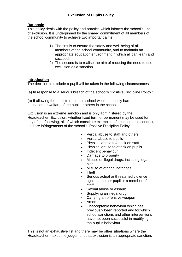#### **Rationale**

This policy deals with the policy and practice which informs the school's use of exclusion. It is underpinned by the shared commitment of all members of the school community to achieve two important aims:

- 1) The first is to ensure the safety and well-being of all members of the school community, and to maintain an appropriate education environment in which all can learn and succeed;
- 2) The second is to realise the aim of reducing the need to use exclusion as a sanction.

#### **Introduction**

The decision to exclude a pupil will be taken in the following circumstances:-

(a) In response to a serious breach of the school's 'Positive Discipline Policy.'

(b) If allowing the pupil to remain in school would seriously harm the education or welfare of the pupil or others in the school.

Exclusion is an extreme sanction and is only administered by the Headteacher. Exclusion, whether fixed term or permanent may be used for any of the following, all of which constitute examples of unacceptable conduct, and are infringements of the school's 'Positive Discipline Policy.'

- Verbal abuse to staff and others
- Verbal abuse to pupils
- Physical abuse to/attack on staff
- Physical abuse to/attack on pupils
- Indecent behaviour
- Damage to property
- Misuse of illegal drugs, including legal high
- Misuse of other substances
- Theft
- Serious actual or threatened violence against another pupil or a member of staff
- Sexual abuse or assault
- Supplying an illegal drug
- Carrying an offensive weapon
- Arson
- Unacceptable behaviour which has previously been reported and for which school sanctions and other interventions have not been successful in modifying the pupil's behaviour.

This is not an exhaustive list and there may be other situations where the Headteacher makes the judgement that exclusion is an appropriate sanction.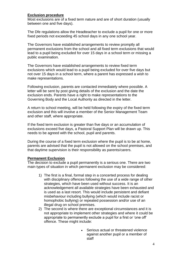#### **Exclusion procedure**

Most exclusions are of a fixed term nature and are of short duration (usually between one and five days).

The Dfe regulations allow the Headteacher to exclude a pupil for one or more fixed periods not exceeding 45 school days in any one school year.

The Governors have established arrangements to review promptly all permanent exclusions from the school and all fixed term exclusions that would lead to a pupil being excluded for over 15 days in a school term or missing a public examination.

The Governors have established arrangements to review fixed term exclusions which would lead to a pupil being excluded for over five days but not over 15 days in a school term, where a parent has expressed a wish to make representations.

Following exclusion, parents are contacted immediately where possible. A letter will be sent by post giving details of the exclusion and the date the exclusion ends. Parents have a right to make representations to the Governing Body and the Local Authority as directed in the letter.

A return to school meeting, will be held following the expiry of the fixed term exclusion and this will involve a member of the Senior Management Team and other staff, where appropriate.

If the fixed term exclusion is greater than five days or an accumulation of exclusions exceed five days, a Pastoral Support Plan will be drawn up. This needs to be agreed with the school, pupil and parents.

During the course of a fixed term exclusion where the pupil is to be at home, parents are advised that the pupil is not allowed on the school premises, and that daytime supervision is their responsibility as parents/carers.

#### **Permanent Exclusion**

The decision to exclude a pupil permanently is a serious one. There are two main types of situation in which permanent exclusion may be considered:

- 1) The first is a final, formal step in a concerted process for dealing with disciplinary offences following the use of a wide range of other strategies, which have been used without success. It is an acknowledgement all available strategies have been exhausted and is used as a last resort. This would include persistent and defiant misbehaviour including bullying (which would include racist or homophobic bullying) or repeated possession and/or use of an illegal drug on school premises.
- 2) The second is where there are exceptional circumstances and it is not appropriate to implement other strategies and where it could be appropriate to permanently exclude a pupil for a first or 'one off' offence. These might include:
	- Serious actual or threatened violence against another pupil or a member of staff